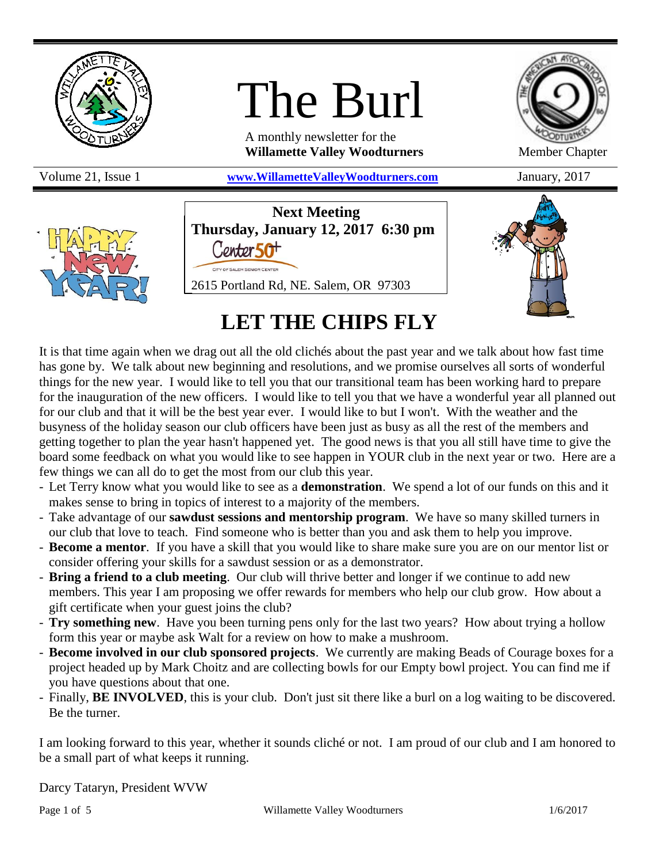

# The Burl

A monthly newsletter for the **Willamette Valley Woodturners** Member Chapter

Volume 21, Issue 1 **[www.WillametteValleyWoodturners.com](http://www.willamettevalleywoodturners.com/)** January, 2017





**Next Meeting Thursday, January 12, 2017 6:30 pm** Contor 50<sup>+</sup> 2615 Portland Rd, NE. Salem, OR 97303



# **LET THE CHIPS FLY**

It is that time again when we drag out all the old clichés about the past year and we talk about how fast time has gone by. We talk about new beginning and resolutions, and we promise ourselves all sorts of wonderful things for the new year. I would like to tell you that our transitional team has been working hard to prepare for the inauguration of the new officers. I would like to tell you that we have a wonderful year all planned out for our club and that it will be the best year ever. I would like to but I won't. With the weather and the busyness of the holiday season our club officers have been just as busy as all the rest of the members and getting together to plan the year hasn't happened yet. The good news is that you all still have time to give the board some feedback on what you would like to see happen in YOUR club in the next year or two. Here are a few things we can all do to get the most from our club this year.

- Let Terry know what you would like to see as a **demonstration**. We spend a lot of our funds on this and it makes sense to bring in topics of interest to a majority of the members.
- Take advantage of our **sawdust sessions and mentorship program**. We have so many skilled turners in our club that love to teach. Find someone who is better than you and ask them to help you improve.
- **Become a mentor**. If you have a skill that you would like to share make sure you are on our mentor list or consider offering your skills for a sawdust session or as a demonstrator.
- **Bring a friend to a club meeting**. Our club will thrive better and longer if we continue to add new members. This year I am proposing we offer rewards for members who help our club grow. How about a gift certificate when your guest joins the club?
- **Try something new**. Have you been turning pens only for the last two years? How about trying a hollow form this year or maybe ask Walt for a review on how to make a mushroom.
- **Become involved in our club sponsored projects**. We currently are making Beads of Courage boxes for a project headed up by Mark Choitz and are collecting bowls for our Empty bowl project. You can find me if you have questions about that one.
- Finally, **BE INVOLVED**, this is your club. Don't just sit there like a burl on a log waiting to be discovered. Be the turner.

I am looking forward to this year, whether it sounds cliché or not. I am proud of our club and I am honored to be a small part of what keeps it running.

Darcy Tataryn, President WVW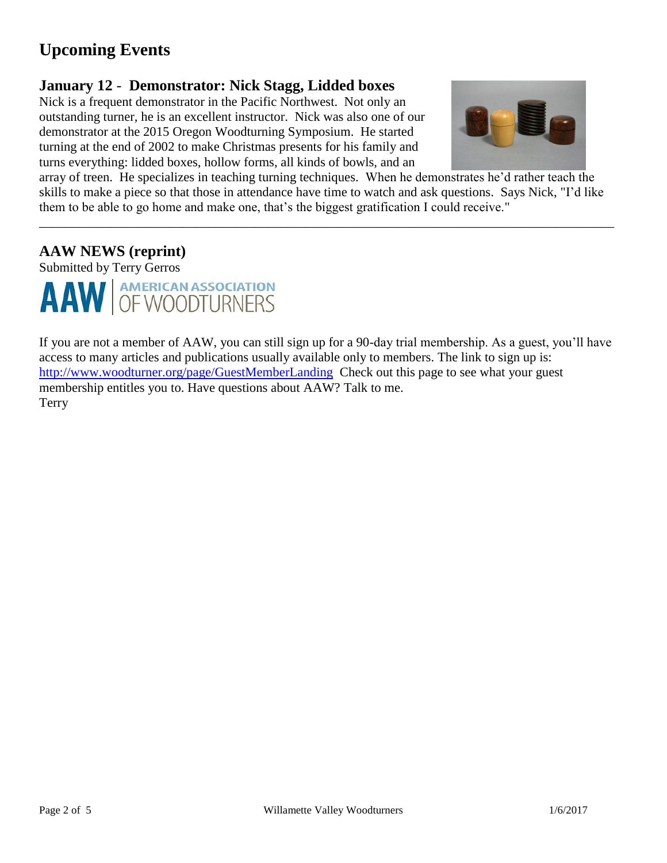# **Upcoming Events**

## **January 12** - **Demonstrator: Nick Stagg, Lidded boxes**

Nick is a frequent demonstrator in the Pacific Northwest. Not only an outstanding turner, he is an excellent instructor. Nick was also one of our demonstrator at the 2015 Oregon Woodturning Symposium. He started turning at the end of 2002 to make Christmas presents for his family and turns everything: lidded boxes, hollow forms, all kinds of bowls, and an



array of treen. He specializes in teaching turning techniques. When he demonstrates he'd rather teach the skills to make a piece so that those in attendance have time to watch and ask questions. Says Nick, "I'd like them to be able to go home and make one, that's the biggest gratification I could receive."

\_\_\_\_\_\_\_\_\_\_\_\_\_\_\_\_\_\_\_\_\_\_\_\_\_\_\_\_\_\_\_\_\_\_\_\_\_\_\_\_\_\_\_\_\_\_\_\_\_\_\_\_\_\_\_\_\_\_\_\_\_\_\_\_\_\_\_\_\_\_\_\_\_\_\_\_\_\_\_\_\_\_\_\_\_\_\_\_

## **AAW NEWS (reprint)**

Submitted by Terry Gerros



If you are not a member of AAW, you can still sign up for a 90-day trial membership. As a guest, you'll have access to many articles and publications usually available only to members. The link to sign up is: <http://www.woodturner.org/page/GuestMemberLanding>Check out this page to see what your guest membership entitles you to. Have questions about AAW? Talk to me. Terry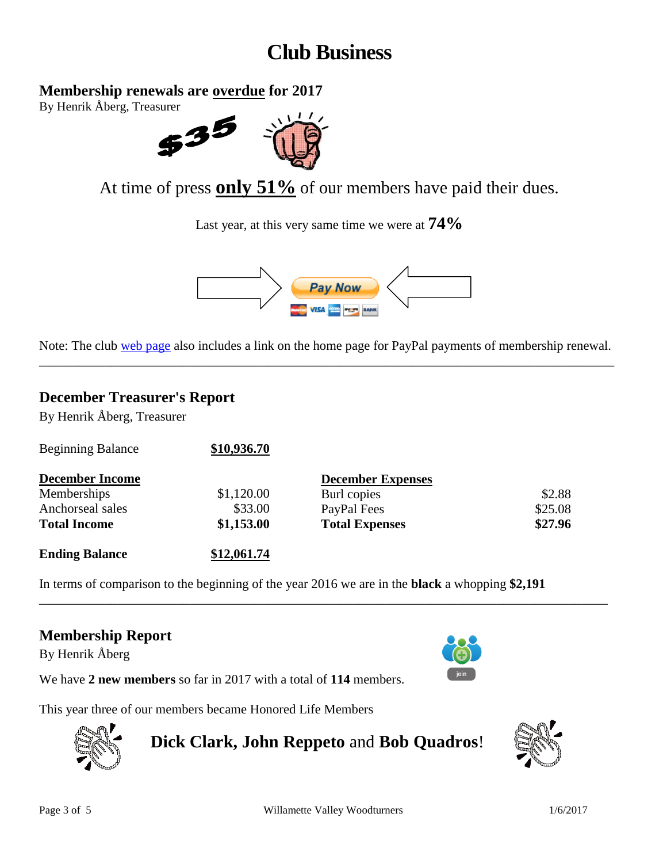# **Club Business**

**Membership renewals are overdue for 2017**

By Henrik Åberg, Treasurer



At time of press **only 51%** of our members have paid their dues.

Last year, at this very same time we were at **74%**



Note: The club [web page](http://www.willamettevalleywoodturners.com/) also includes a link on the home page for PayPal payments of membership renewal. \_\_\_\_\_\_\_\_\_\_\_\_\_\_\_\_\_\_\_\_\_\_\_\_\_\_\_\_\_\_\_\_\_\_\_\_\_\_\_\_\_\_\_\_\_\_\_\_\_\_\_\_\_\_\_\_\_\_\_\_\_\_\_\_\_\_\_\_\_\_\_\_\_\_\_\_\_\_\_\_\_\_\_\_\_\_\_\_

## **December Treasurer's Report**

By Henrik Åberg, Treasurer

| <b>Ending Balance</b>    | \$12,061.74 |                          |         |
|--------------------------|-------------|--------------------------|---------|
| <b>Total Income</b>      | \$1,153.00  | <b>Total Expenses</b>    | \$27.96 |
| Anchorseal sales         | \$33.00     | PayPal Fees              | \$25.08 |
| Memberships              | \$1,120.00  | Burl copies              | \$2.88  |
| <b>December Income</b>   |             | <b>December Expenses</b> |         |
| <b>Beginning Balance</b> | \$10,936.70 |                          |         |

In terms of comparison to the beginning of the year 2016 we are in the **black** a whopping **\$2,191**

\_\_\_\_\_\_\_\_\_\_\_\_\_\_\_\_\_\_\_\_\_\_\_\_\_\_\_\_\_\_\_\_\_\_\_\_\_\_\_\_\_\_\_\_\_\_\_\_\_\_\_\_\_\_\_\_\_\_\_\_\_\_\_\_\_\_\_\_\_\_\_\_\_\_\_\_\_\_\_\_\_\_\_\_\_\_\_

## **Membership Report**

By Henrik Åberg



We have **2 new members** so far in 2017 with a total of **114** members.

This year three of our members became Honored Life Members



**Dick Clark, John Reppeto** and **Bob Quadros**!

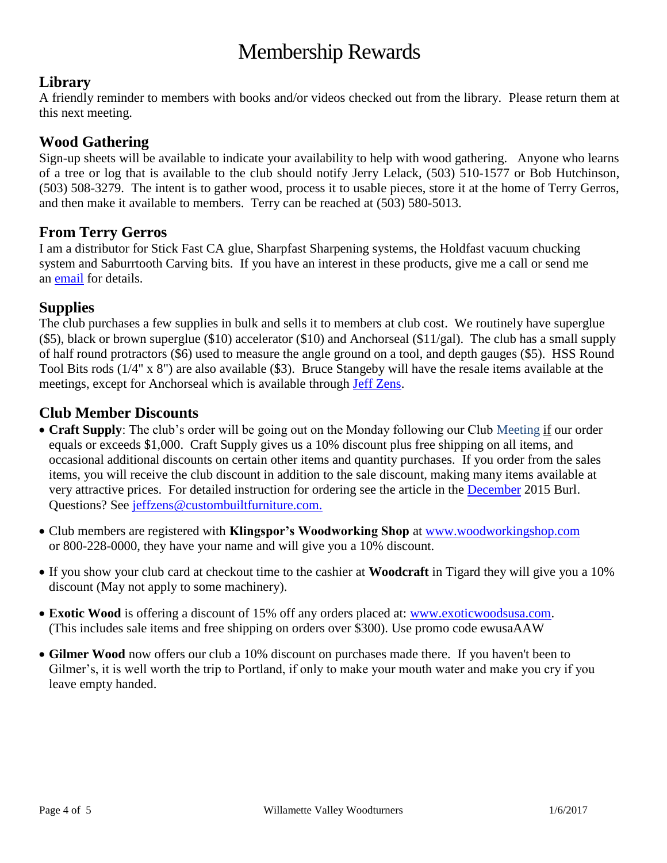# Membership Rewards

## **Library**

A friendly reminder to members with books and/or videos checked out from the library. Please return them at this next meeting.

#### **Wood Gathering**

Sign-up sheets will be available to indicate your availability to help with wood gathering. Anyone who learns of a tree or log that is available to the club should notify Jerry Lelack, (503) 510-1577 or Bob Hutchinson, (503) 508-3279. The intent is to gather wood, process it to usable pieces, store it at the home of Terry Gerros, and then make it available to members. Terry can be reached at (503) 580-5013.

#### **From Terry Gerros**

I am a distributor for Stick Fast CA glue, Sharpfast Sharpening systems, the Holdfast vacuum chucking system and Saburrtooth Carving bits. If you have an interest in these products, give me a call or send me an [email](mailto:gerrost@yahoo.com) for details.

#### **Supplies**

The club purchases a few supplies in bulk and sells it to members at club cost. We routinely have superglue (\$5), black or brown superglue (\$10) accelerator (\$10) and Anchorseal (\$11/gal). The club has a small supply of half round protractors (\$6) used to measure the angle ground on a tool, and depth gauges (\$5). HSS Round Tool Bits rods (1/4" x 8") are also available (\$3). Bruce Stangeby will have the resale items available at the meetings, except for Anchorseal which is available through [Jeff Zens.](mailto:jszens@custombuiltfurniture.com)

#### **Club Member Discounts**

- **Craft Supply**: The club's order will be going out on the Monday following our Club Meeting if our order equals or exceeds \$1,000. Craft Supply gives us a 10% discount plus free shipping on all items, and occasional additional discounts on certain other items and quantity purchases. If you order from the sales items, you will receive the club discount in addition to the sale discount, making many items available at very attractive prices. For detailed instruction for ordering see the article in the **December** 2015 Burl. Questions? See [jeffzens@custombuiltfurniture.com.](mailto:jeffzens@custombuiltfurniture.com.)
- Club members are registered with **Klingspor's Woodworking Shop** at [www.woodworkingshop.com](http://www.woodworkingshop.com/)  or 800-228-0000, they have your name and will give you a 10% discount.
- If you show your club card at checkout time to the cashier at **Woodcraft** in Tigard they will give you a 10% discount (May not apply to some machinery).
- **Exotic Wood** is offering a discount of 15% off any orders placed at: [www.exoticwoodsusa.com.](http://www.exoticwoodsusa.com/) (This includes sale items and free shipping on orders over \$300). Use promo code ewusaAAW
- **Gilmer Wood** now offers our club a 10% discount on purchases made there. If you haven't been to Gilmer's, it is well worth the trip to Portland, if only to make your mouth water and make you cry if you leave empty handed.